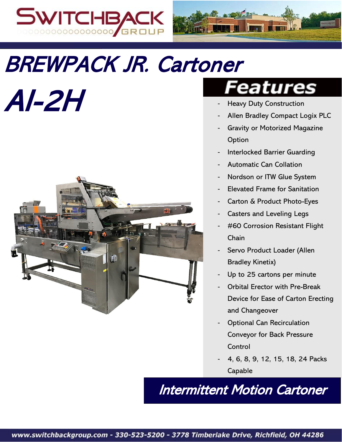



# BREWPACK JR. Cartoner

AI-2H



## *eatures*

- **Heavy Duty Construction**
- Allen Bradley Compact Logix PLC
- Gravity or Motorized Magazine Option
- Interlocked Barrier Guarding
- Automatic Can Collation
- Nordson or ITW Glue System
- Elevated Frame for Sanitation
- Carton & Product Photo-Eyes
- Casters and Leveling Legs
- #60 Corrosion Resistant Flight Chain
- Servo Product Loader (Allen Bradley Kinetix)
- Up to 25 cartons per minute
- Orbital Erector with Pre-Break Device for Ease of Carton Erecting and Changeover
- **Optional Can Recirculation** Conveyor for Back Pressure Control
- 4, 6, 8, 9, 12, 15, 18, 24 Packs Capable

Intermittent Motion Cartoner